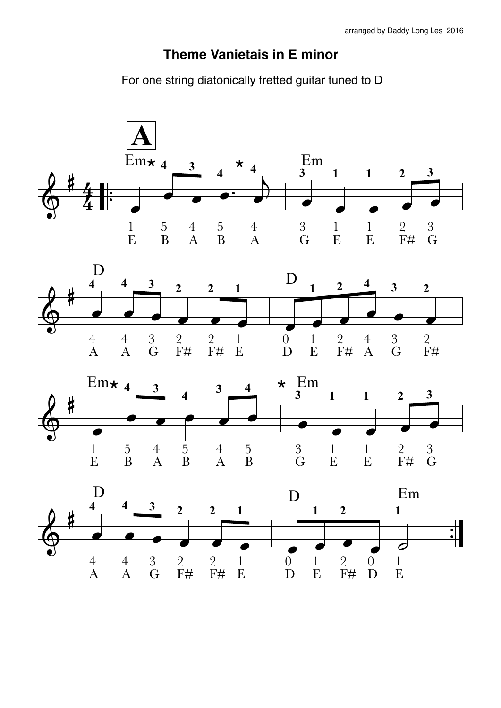## Theme Vanietais in E minor

For one string diatonically fretted guitar tuned to D